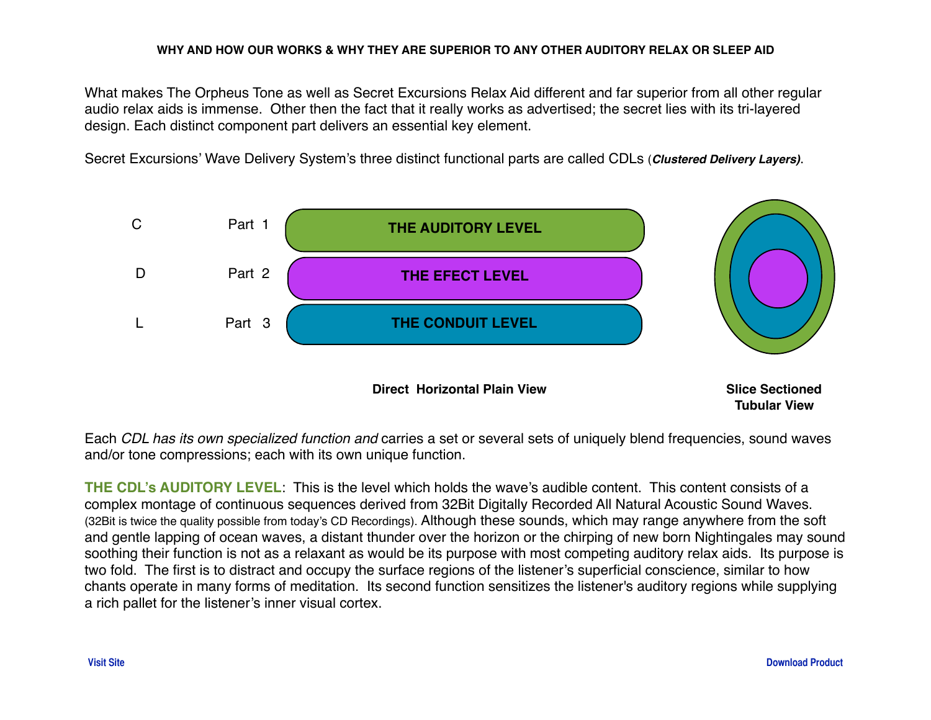## **WHY AND HOW OUR WORKS & WHY THEY ARE SUPERIOR TO ANY OTHER AUDITORY RELAX OR SLEEP AID**

What makes The Orpheus Tone as well as Secret Excursions Relax Aid different and far superior from all other regular audio relax aids is immense. Other then the fact that it really works as advertised; the secret lies with its tri-layered design. Each distinct component part delivers an essential key element.

Secret Excursions' Wave Delivery System's three distinct functional parts are called CDLs (*Clustered Delivery Layers)*.



Each *CDL has its own specialized function and* carries a set or several sets of uniquely blend frequencies, sound waves and/or tone compressions; each with its own unique function.

**THE CDL's AUDITORY LEVEL**: This is the level which holds the wave's audible content. This content consists of a complex montage of continuous sequences derived from 32Bit Digitally Recorded All Natural Acoustic Sound Waves. (32Bit is twice the quality possible from today's CD Recordings). Although these sounds, which may range anywhere from the soft and gentle lapping of ocean waves, a distant thunder over the horizon or the chirping of new born Nightingales may sound soothing their function is not as a relaxant as would be its purpose with most competing auditory relax aids. Its purpose is two fold. The first is to distract and occupy the surface regions of the listener's superficial conscience, similar to how chants operate in many forms of meditation. Its second function sensitizes the listener's auditory regions while supplying a rich pallet for the listener's inner visual cortex.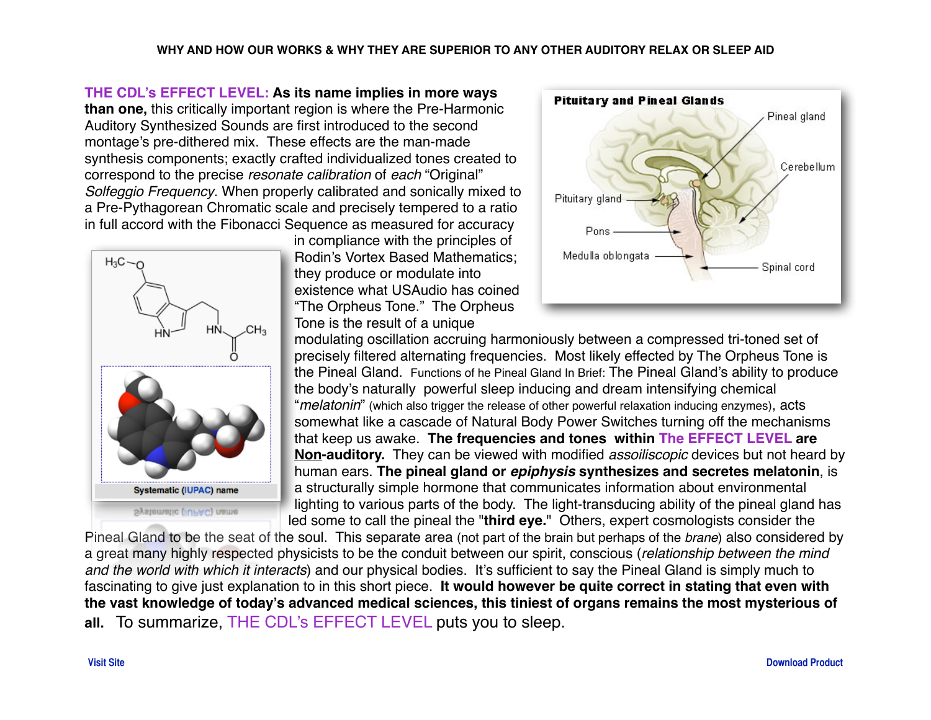**THE CDL's EFFECT LEVEL: As its name implies in more ways than one,** this critically important region is where the Pre-Harmonic Auditory Synthesized Sounds are first introduced to the second montage's pre-dithered mix. These effects are the man-made synthesis components; exactly crafted individualized tones created to correspond to the precise *resonate calibration* of *each* "Original" *Solfeggio Frequency*. When properly calibrated and sonically mixed to a Pre-Pythagorean Chromatic scale and precisely tempered to a ratio in full accord with the Fibonacci Sequence as measured for accuracy



in compliance with the principles of Rodin's Vortex Based Mathematics; they produce or modulate into existence what USAudio has coined "The Orpheus Tone." The Orpheus Tone is the result of a unique



modulating oscillation accruing harmoniously between a compressed tri-toned set of precisely filtered alternating frequencies. Most likely effected by The Orpheus Tone is the Pineal Gland. Functions of he Pineal Gland In Brief: The Pineal Gland's ability to produce the body's naturally powerful sleep inducing and dream intensifying chemical "*melatonin*" (which also trigger the release of other powerful relaxation inducing enzymes), acts somewhat like a cascade of Natural Body Power Switches turning off the mechanisms that keep us awake. **The frequencies and tones within The EFFECT LEVEL are Non-auditory.** They can be viewed with modified *assoiliscopic* devices but not heard by human ears. **The pineal gland or** *epiphysis* **synthesizes and secretes melatonin**, is a structurally simple hormone that communicates information about environmental lighting to various parts of the body. The light-transducing ability of the pineal gland has led some to call the pineal the "**third eye.**" Others, expert cosmologists consider the

Pineal Gland to be the seat of the soul. This separate area (not part of the brain but perhaps of the *brane*) also considered by a great many highly respected physicists to be the conduit between our spirit, conscious (*relationship between the mind and the world with which it interacts*) and our physical bodies. It's sufficient to say the Pineal Gland is simply much to fascinating to give just explanation to in this short piece. **It would however be quite correct in stating that even with the vast knowledge of today's advanced medical sciences, this tiniest of organs remains the most mysterious of all.** To summarize, THE CDL's EFFECT LEVEL puts you to sleep.